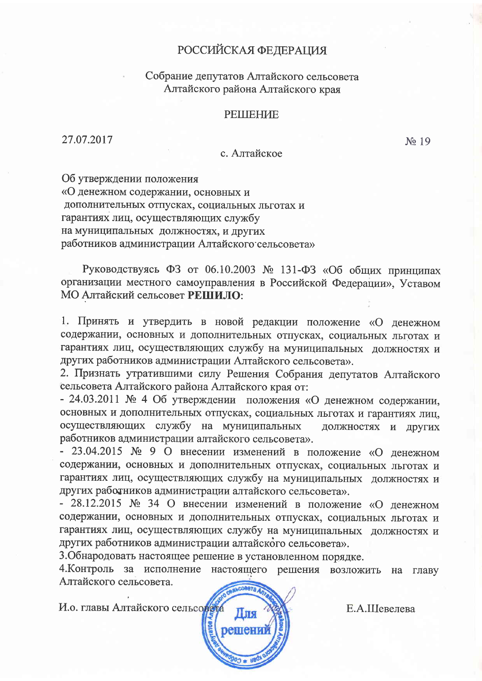# **РОССИЙСКАЯ ФЕДЕРАЦИЯ**

## Собрание депутатов Алтайского сельсовета Алтайского района Алтайского края

## **РЕШЕНИЕ**

27.07.2017

с. Алтайское

Об утверждении положения

«О денежном содержании, основных и дополнительных отпусках, социальных льготах и гарантиях лиц, осуществляющих службу на муниципальных должностях, и других работников администрации Алтайского сельсовета»

Руководствуясь ФЗ от 06.10.2003 № 131-ФЗ «Об общих принципах организации местного самоуправления в Российской Федерации», Уставом МО Алтайский сельсовет РЕШИЛО:

1. Принять и утвердить в новой редакции положение «О денежном содержании, основных и дополнительных отпусках, социальных льготах и гарантиях лиц, осуществляющих службу на муниципальных должностях и других работников администрации Алтайского сельсовета».

2. Признать утратившими силу Решения Собрания депутатов Алтайского сельсовета Алтайского района Алтайского края от:

- 24.03.2011 № 4 Об утверждении положения «О денежном содержании, основных и дополнительных отпусках, социальных льготах и гарантиях лиц, осуществляющих службу на муниципальных должностях и других работников администрации алтайского сельсовета».

- 23.04.2015 № 9 О внесении изменений в положение «О денежном содержании, основных и дополнительных отпусках, социальных льготах и гарантиях лиц, осуществляющих службу на муниципальных должностях и других работников администрации алтайского сельсовета».

- 28.12.2015 № 34 О внесении изменений в положение «О денежном содержании, основных и дополнительных отпусках, социальных льготах и гарантиях лиц, осуществляющих службу на муниципальных должностях и других работников администрации алтайского сельсовета».

3. Обнародовать настоящее решение в установленном порядке.

4. Контроль за исполнение настоящего решения возложить на главу Алтайского сельсовета.

И.о. главы Алтайского сельсовета



Е.А.Шевелева

No 19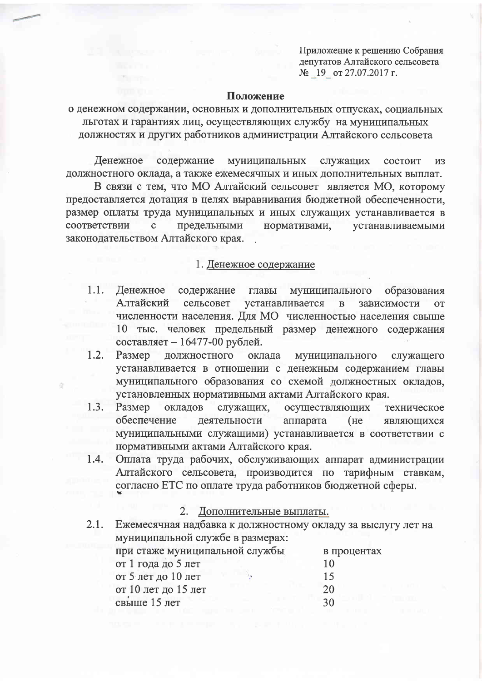Приложение к решению Собрания депутатов Алтайского сельсовета № 19 от 27.07.2017 г.

#### Положение

о денежном содержании, основных и дополнительных отпусках, социальных льготах и гарантиях лиц, осуществляющих службу на муниципальных должностях и других работников администрации Алтайского сельсовета

Денежное содержание муниципальных служащих состоит **ИЗ** должностного оклада, а также ежемесячных и иных дополнительных выплат.

В связи с тем, что МО Алтайский сельсовет является МО, которому предоставляется дотация в целях выравнивания бюджетной обеспеченности, размер оплаты труда муниципальных и иных служащих устанавливается в соответствии предельными нормативами,  $\mathbf c$ устанавливаемыми законодательством Алтайского края.

### 1. Денежное содержание

- $1.1.$ Денежное содержание муниципального главы образования Алтайский сельсовет устанавливается  $\, {\bf B}$ зависимости **OT** численности населения. Для МО численностью населения свыше 10 тыс. человек предельный размер денежного содержания составляет - 16477-00 рублей.
- 1.2. Размер должностного оклада муниципального служащего устанавливается в отношении с денежным содержанием главы муниципального образования со схемой должностных окладов, установленных нормативными актами Алтайского края.
- $1.3.$ Размер окладов служащих, осуществляющих техническое обеспечение деятельности аппарата  $(He)$ являющихся муниципальными служащими) устанавливается в соответствии с нормативными актами Алтайского края.
- Оплата труда рабочих, обслуживающих аппарат администрации 1.4. Алтайского сельсовета, производится по тарифным ставкам, согласно ЕТС по оплате труда работников бюджетной сферы.

#### Дополнительные выплаты.  $2.$

 $2.1.$ Ежемесячная надбавка к должностному окладу за выслугу лет на муниципальной службе в размерах: при стаже муниципальной службы в процентах от 1 года до 5 лет 10 от 5 лет до 10 лет 15 от 10 лет до 15 лет 20 свыше 15 лет 30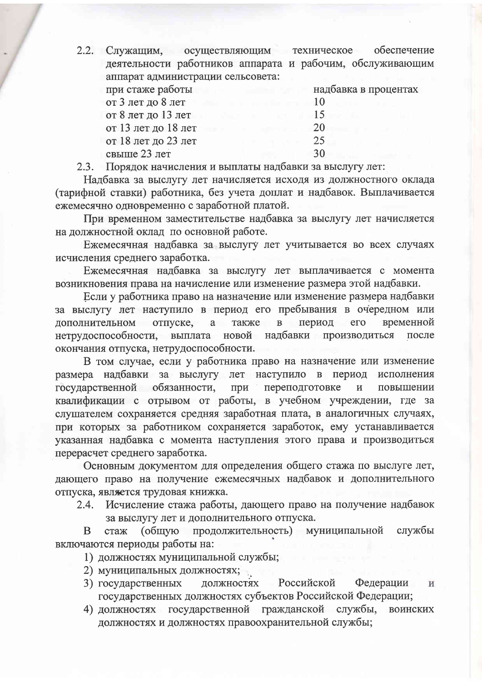2.2. Служашим, осуществляющим техническое обеспечение деятельности работников аппарата и рабочим, обслуживающим аппарат администрации сельсовета: при стаже работы надбавка в процентах от 3 лет до 8 лет 10

от 8 лет до 13 лет 15 от 13 лет до 18 лет 20 25 от 18 лет до 23 лет 30 свыше 23 лет

Порядок начисления и выплаты надбавки за выслугу лет:  $2.3.$ 

Надбавка за выслугу лет начисляется исходя из должностного оклада (тарифной ставки) работника, без учета доплат и надбавок. Выплачивается ежемесячно одновременно с заработной платой.

При временном заместительстве надбавка за выслугу лет начисляется на должностной оклад по основной работе.

Ежемесячная надбавка за выслугу лет учитывается во всех случаях исчисления среднего заработка.

Ежемесячная надбавка за выслугу лет выплачивается с момента возникновения права на начисление или изменение размера этой надбавки.

Если у работника право на назначение или изменение размера надбавки за выслугу лет наступило в период его пребывания в очередном или дополнительном отпуске, a также  $\mathbf{B}$ период  $e_{\Gamma}$ временной нетрудоспособности, выплата новой надбавки производиться после окончания отпуска, нетрудоспособности.

В том случае, если у работника право на назначение или изменение размера надбавки за выслугу лет наступило в период исполнения государственной обязанности, при переподготовке  $\overline{M}$ повышении квалификации с отрывом от работы, в учебном учреждении, где за слушателем сохраняется средняя заработная плата, в аналогичных случаях, при которых за работником сохраняется заработок, ему устанавливается указанная надбавка с момента наступления этого права и производиться перерасчет среднего заработка.

Основным документом для определения общего стажа по выслуге лет, дающего право на получение ежемесячных надбавок и дополнительного отпуска, является трудовая книжка.

Исчисление стажа работы, дающего право на получение надбавок  $2.4.$ за выслугу лет и дополнительного отпуска.

(общую продолжительность) муниципальной службы B стаж включаются периоды работы на:

1) должностях муниципальной службы;

- 2) муниципальных должностях;
- 3) государственных Российской Федерации должностях И государственных должностях субъектов Российской Федерации;
- 4) должностях государственной гражданской службы, воинских должностях и должностях правоохранительной службы;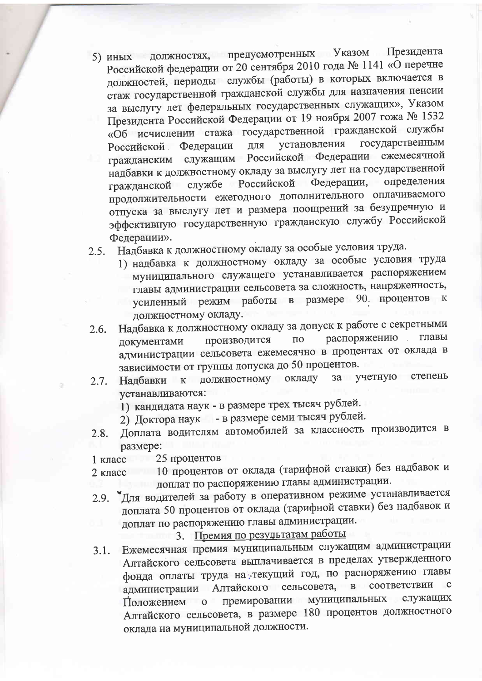- должностях, предусмотренных Указом Президента  $5)$  иных Российской федерации от 20 сентября 2010 года № 1141 «О перечне должностей, периоды службы (работы) в которых включается в стаж государственной гражданской службы для назначения пенсии за выслугу лет федеральных государственных служащих», Указом Президента Российской Федерации от 19 ноября 2007 гожа № 1532 «Об исчислении стажа государственной гражданской службы государственным установления Федерации Российской. ДЛЯ Российской Федерации ежемесячной служащим гражданским надбавки к должностному окладу за выслугу лет на государственной определения Российской Федерации, службе гражданской продолжительности ежегодного дополнительного оплачиваемого отпуска за выслугу лет и размера поощрений за безупречную и эффективную государственную гражданскую службу Российской Федерации».
- Надбавка к должностному окладу за особые условия труда.  $2.5.$ 
	- 1) надбавка к должностному окладу за особые условия труда муниципального служащего устанавливается распоряжением главы администрации сельсовета за сложность, напряженность, усиленный режим работы в размере 90. процентов к должностному окладу.
- Надбавка к должностному окладу за допуск к работе с секретными  $2.6.$ распоряжению главы производится  $\Pi$ O документами администрации сельсовета ежемесячно в процентах от оклада в зависимости от группы допуска до 50 процентов.
- учетную степень должностному окладу  $3a$  $2.7.$ Налбавки  ${\bf K}$ устанавливаются:
	- 1) кандидата наук в размере трех тысяч рублей.
	- 2) Доктора наук в размере семи тысяч рублей.
- Доплата водителям автомобилей за классность производится в 2.8. размере:
- 25 процентов 1 класс
- 10 процентов от оклада (тарифной ставки) без надбавок и 2 класс доплат по распоряжению главы администрации.
- "Для водителей за работу в оперативном режиме устанавливается  $2.9.$ доплата 50 процентов от оклада (тарифной ставки) без надбавок и доплат по распоряжению главы администрации.
	- 3. Премия по резудьтатам работы
- Ежемесячная премия муниципальным служащим администрации  $3.1.$ Алтайского сельсовета выплачивается в пределах утвержденного фонда оплаты труда на текущий год, по распоряжению главы администрации Алтайского сельсовета, соответствии  $\mathbf{C}$  $\overline{B}$ муниципальных служащих премировании Положением  $\overline{O}$ Алтайского сельсовета, в размере 180 процентов должностного оклада на муниципальной должности.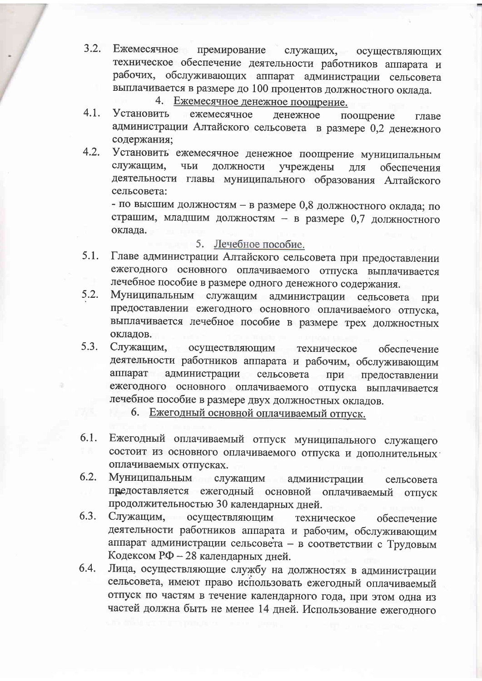- Ежемесячное премирование служащих, осуществляющих  $3.2.$ техническое обеспечение деятельности работников аппарата и рабочих, обслуживающих аппарат администрации сельсовета выплачивается в размере до 100 процентов должностного оклада.
	- 4. Ежемесячное денежное поощрение.
- $4.1.$ **Установить** ежемесячное денежное поощрение главе администрации Алтайского сельсовета в размере 0,2 денежного содержания:
- $4.2.$ Установить ежемесячное денежное поощрение муниципальным служащим, чьи должности учреждены ДЛД обеспечения деятельности главы муниципального образования Алтайского сельсовета:

- по высшим должностям - в размере 0,8 должностного оклада; по страшим, младшим должностям - в размере 0,7 должностного оклада.

- 5. Лечебное пособие.
- Главе администрации Алтайского сельсовета при предоставлении  $5.1.$ ежегодного основного оплачиваемого отпуска выплачивается лечебное пособие в размере одного денежного содержания.
- Муниципальным служащим администрации сельсовета 5.2. при предоставлении ежегодного основного оплачиваемого отпуска, выплачивается лечебное пособие в размере трех должностных окладов.
- $5.3.$ Служащим, осуществляющим техническое обеспечение деятельности работников аппарата и рабочим, обслуживающим аппарат администрации сельсовета при предоставлении ежегодного основного оплачиваемого отпуска выплачивается лечебное пособие в размере двух должностных окладов.
	- 6. Ежегодный основной оплачиваемый отпуск.
- Ежегодный оплачиваемый отпуск муниципального служащего 6.1. состоит из основного оплачиваемого отпуска и дополнительных оплачиваемых отпусках.
- 6.2. Муниципальным служащим администрации сельсовета предоставляется ежегодный основной оплачиваемый отпуск продолжительностью 30 календарных дней.
- 6.3. Служащим, осуществляющим техническое обеспечение деятельности работников аппарата и рабочим, обслуживающим аппарат администрации сельсовета - в соответствии с Трудовым Кодексом РФ - 28 календарных дней.
- Лица, осуществляющие службу на должностях в администрации 6.4. сельсовета, имеют право использовать ежегодный оплачиваемый отпуск по частям в течение календарного года, при этом одна из частей должна быть не менее 14 дней. Использование ежегодного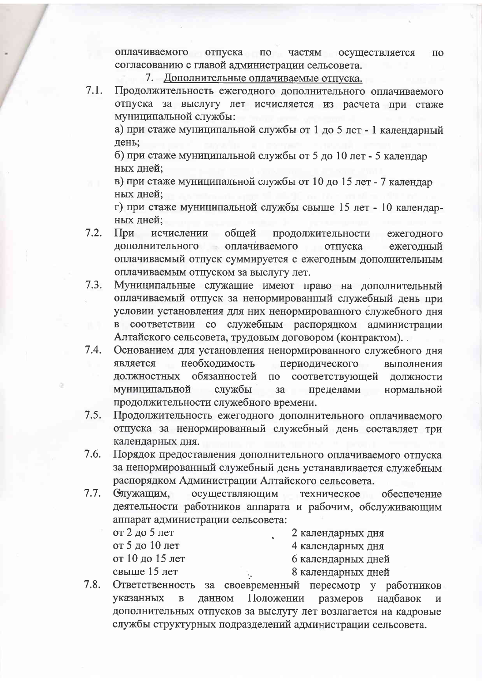оплачиваемого отпуска по частям осуществляется  $\Pi$ <sup>O</sup> согласованию с главой администрации сельсовета.

7. Дополнительные оплачиваемые отпуска.

Продолжительность ежегодного дополнительного оплачиваемого 7.1. отпуска за выслугу лет исчисляется из расчета при стаже муниципальной службы:

а) при стаже муниципальной службы от 1 до 5 лет - 1 календарный лень:

б) при стаже муниципальной службы от 5 до 10 лет - 5 календар ных лней:

в) при стаже муниципальной службы от 10 до 15 лет - 7 календар ных дней:

г) при стаже муниципальной службы свыше 15 лет - 10 календарных дней;

- $7.2.$ При исчислении общей продолжительности ежегодного дополнительного оплачиваемого отпуска ежегодный оплачиваемый отпуск суммируется с ежегодным дополнительным оплачиваемым отпуском за выслугу лет.
- Муниципальные служащие имеют право на дополнительный  $7.3.$ оплачиваемый отпуск за ненормированный служебный день при условии установления для них ненормированного служебного дня в соответствии со служебным распорядком администрации Алтайского сельсовета, трудовым договором (контрактом).
- $7.4.$ Основанием для установления ненормированного служебного дня необходимость является периодического выполнения должностных обязанностей по соответствующей должности муниципальной службы пределами  $3a$ нормальной продолжительности служебного времени.
- Продолжительность ежегодного дополнительного оплачиваемого  $7.5.$ отпуска за ненормированный служебный день составляет три календарных дня.
- Порядок предоставления дополнительного оплачиваемого отпуска 7.6. за ненормированный служебный день устанавливается служебным распорядком Администрации Алтайского сельсовета.
- $7.7.$ Служащим, осуществляющим техническое обеспечение деятельности работников аппарата и рабочим, обслуживающим аппарат администрации сельсовета:

от 2 до 5 лет от 5 до 10 лет от 10 до 15 лет свыше 15 лет

2 календарных дня 4 календарных дня 6 календарных дней

- 8 календарных дней
- 7.8. Ответственность за своевременный пересмотр у работников указанных  $\overline{B}$ данном Положении размеров налбавок  $\overline{M}$ дополнительных отпусков за выслугу лет возлагается на кадровые службы структурных подразделений администрации сельсовета.